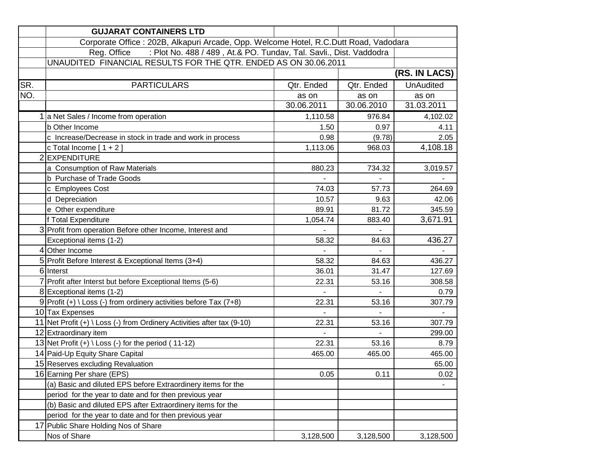|     | <b>GUJARAT CONTAINERS LTD</b>                                                        |                |                |                  |  |
|-----|--------------------------------------------------------------------------------------|----------------|----------------|------------------|--|
|     | Corporate Office: 202B, Alkapuri Arcade, Opp. Welcome Hotel, R.C.Dutt Road, Vadodara |                |                |                  |  |
|     | : Plot No. 488 / 489, At.& PO. Tundav, Tal. Savli., Dist. Vaddodra<br>Reg. Office    |                |                |                  |  |
|     | UNAUDITED FINANCIAL RESULTS FOR THE QTR. ENDED AS ON 30.06.2011                      |                |                |                  |  |
|     |                                                                                      |                |                | (RS. IN LACS)    |  |
| SR. | <b>PARTICULARS</b>                                                                   | Qtr. Ended     | Qtr. Ended     | <b>UnAudited</b> |  |
| NO. |                                                                                      | as on          | as on          | as on            |  |
|     |                                                                                      | 30.06.2011     | 30.06.2010     | 31.03.2011       |  |
|     | 1 a Net Sales / Income from operation                                                | 1,110.58       | 976.84         | 4,102.02         |  |
|     | b Other Income                                                                       | 1.50           | 0.97           | 4.11             |  |
|     | c Increase/Decrease in stock in trade and work in process                            | 0.98           | (9.78)         | 2.05             |  |
|     | c Total Income $[1 + 2]$                                                             | 1,113.06       | 968.03         | 4,108.18         |  |
|     | 2 EXPENDITURE                                                                        |                |                |                  |  |
|     | a Consumption of Raw Materials                                                       | 880.23         | 734.32         | 3,019.57         |  |
|     | b Purchase of Trade Goods                                                            |                | $\blacksquare$ |                  |  |
|     | c Employees Cost                                                                     | 74.03          | 57.73          | 264.69           |  |
|     | d Depreciation                                                                       | 10.57          | 9.63           | 42.06            |  |
|     | e Other expenditure                                                                  | 89.91          | 81.72          | 345.59           |  |
|     | f Total Expenditure                                                                  | 1,054.74       | 883.40         | 3,671.91         |  |
|     | 3 Profit from operation Before other Income, Interest and                            |                |                |                  |  |
|     | Exceptional items (1-2)                                                              | 58.32          | 84.63          | 436.27           |  |
|     | 4 Other Income                                                                       |                |                |                  |  |
|     | 5 Profit Before Interest & Exceptional Items (3+4)                                   | 58.32          | 84.63          | 436.27           |  |
|     | 6 Interst                                                                            | 36.01          | 31.47          | 127.69           |  |
|     | 7 Profit after Interst but before Exceptional Items (5-6)                            | 22.31          | 53.16          | 308.58           |  |
|     | 8 Exceptional items (1-2)                                                            |                |                | 0.79             |  |
|     | 9 Profit $(+) \setminus$ Loss $(-)$ from ordinery activities before Tax (7+8)        | 22.31          | 53.16          | 307.79           |  |
|     | 10 Tax Expenses                                                                      | $\blacksquare$ |                | $\blacksquare$   |  |
|     | 11 Net Profit (+) \ Loss (-) from Ordinery Activities after tax (9-10)               | 22.31          | 53.16          | 307.79           |  |
|     | 12 Extraordinary item                                                                |                |                | 299.00           |  |
|     | 13 Net Profit $(+) \setminus$ Loss $(-)$ for the period (11-12)                      | 22.31          | 53.16          | 8.79             |  |
|     | 14 Paid-Up Equity Share Capital                                                      | 465.00         | 465.00         | 465.00           |  |
|     | 15 Reserves excluding Revaluation                                                    |                |                | 65.00            |  |
|     | 16 Earning Per share (EPS)                                                           | 0.05           | 0.11           | 0.02             |  |
|     | (a) Basic and diluted EPS before Extraordinery items for the                         |                |                |                  |  |
|     | period for the year to date and for then previous year                               |                |                |                  |  |
|     | (b) Basic and diluted EPS after Extraordinery items for the                          |                |                |                  |  |
|     | period for the year to date and for then previous year                               |                |                |                  |  |
|     | 17 Public Share Holding Nos of Share                                                 |                |                |                  |  |
|     | Nos of Share                                                                         | 3,128,500      | 3,128,500      | 3,128,500        |  |